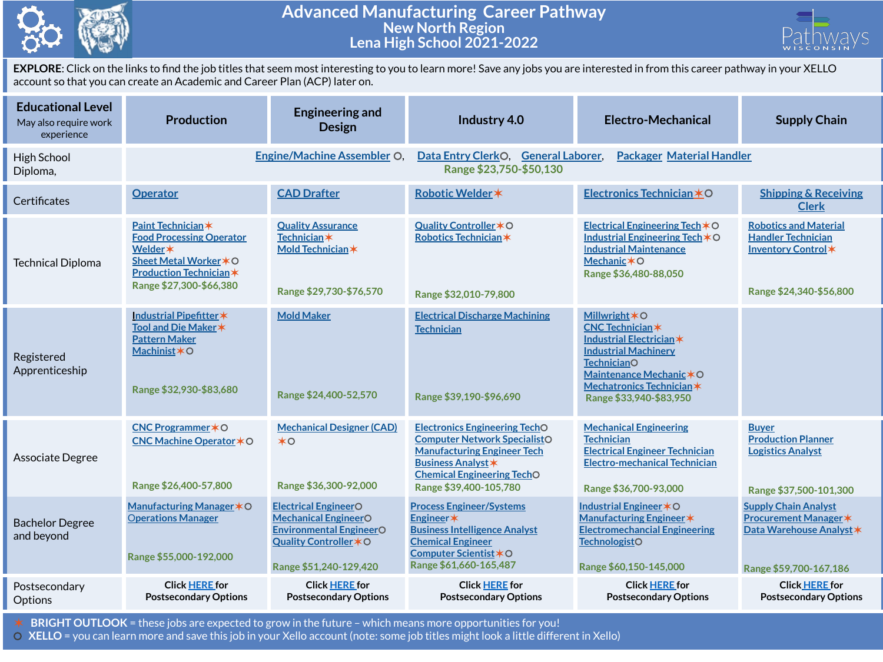

## **Advanced Manufacturing Career Pathway New North Region Lena High School 2021-2022**



**EXPLORE**: Click on the links to find the job titles that seem most interesting to you to learn more! Save any jobs you are interested in from this career pathway in your XELLO account so that you can create an Academic and Career Plan (ACP) later on.

| <b>Educational Level</b><br>May also require work<br>experience | <b>Production</b>                                                                                                                                      | <b>Engineering and</b><br><b>Design</b>                                                                                                          | Industry 4.0                                                                                                                                                                                                  | <b>Electro-Mechanical</b>                                                                                                                                                                                                      | <b>Supply Chain</b>                                                                                               |  |
|-----------------------------------------------------------------|--------------------------------------------------------------------------------------------------------------------------------------------------------|--------------------------------------------------------------------------------------------------------------------------------------------------|---------------------------------------------------------------------------------------------------------------------------------------------------------------------------------------------------------------|--------------------------------------------------------------------------------------------------------------------------------------------------------------------------------------------------------------------------------|-------------------------------------------------------------------------------------------------------------------|--|
| High School<br>Diploma,                                         |                                                                                                                                                        | <b>Engine/Machine Assembler O</b>                                                                                                                | Data Entry ClerkO. General Laborer.<br><b>Packager Material Handler</b><br>Range \$23,750-\$50,130                                                                                                            |                                                                                                                                                                                                                                |                                                                                                                   |  |
| Certificates                                                    | <b>Operator</b>                                                                                                                                        | <b>CAD Drafter</b>                                                                                                                               | Robotic Welder *                                                                                                                                                                                              | Electronics Technician *O                                                                                                                                                                                                      | <b>Shipping &amp; Receiving</b><br><b>Clerk</b>                                                                   |  |
| <b>Technical Diploma</b>                                        | Paint Technician*<br><b>Food Processing Operator</b><br>Welder *<br>Sheet Metal Worker * O<br><b>Production Technician*</b><br>Range \$27,300-\$66,380 | <b>Quality Assurance</b><br><b>Technician</b> *<br>Mold Technician *<br>Range \$29,730-\$76,570                                                  | Quality Controller * O<br>Robotics Technician*<br>Range \$32,010-79,800                                                                                                                                       | Electrical Engineering Tech $*$ O<br>Industrial Engineering Tech *O<br><b>Industrial Maintenance</b><br>Mechanic * O<br>Range \$36,480-88,050                                                                                  | <b>Robotics and Material</b><br><b>Handler Technician</b><br>Inventory Control*<br>Range \$24,340-\$56,800        |  |
| Registered<br>Apprenticeship                                    | Industrial Pipefitter*<br>Tool and Die Maker *<br><b>Pattern Maker</b><br>Machinist*O<br>Range \$32,930-\$83,680                                       | <b>Mold Maker</b><br>Range \$24,400-52,570                                                                                                       | <b>Electrical Discharge Machining</b><br><b>Technician</b><br>Range \$39,190-\$96,690                                                                                                                         | <b>Millwright <math>*</math>O</b><br><b>CNC Technician*</b><br>Industrial Electrician*<br><b>Industrial Machinery</b><br><b>TechnicianO</b><br>Maintenance Mechanic * O<br>Mechatronics Technician*<br>Range \$33,940-\$83,950 |                                                                                                                   |  |
| Associate Degree                                                | CNC Programmer * O<br>CNC Machine Operator <b>*</b> ○<br>Range \$26,400-57,800                                                                         | <b>Mechanical Designer (CAD)</b><br>$*$ o<br>Range \$36,300-92,000                                                                               | <b>Electronics Engineering TechO</b><br><b>Computer Network SpecialistO</b><br><b>Manufacturing Engineer Tech</b><br><b>Business Analyst *</b><br><b>Chemical Engineering TechO</b><br>Range \$39,400-105,780 | <b>Mechanical Engineering</b><br><b>Technician</b><br><b>Electrical Engineer Technician</b><br><b>Electro-mechanical Technician</b><br>Range \$36,700-93,000                                                                   | <b>Buyer</b><br><b>Production Planner</b><br><b>Logistics Analyst</b><br>Range \$37,500-101,300                   |  |
| <b>Bachelor Degree</b><br>and beyond                            | Manufacturing Manager * O<br><b>Operations Manager</b><br>Range \$55,000-192,000                                                                       | <b>Electrical EngineerO</b><br><b>Mechanical EngineerO</b><br><b>Environmental EngineerO</b><br>Quality Controller * O<br>Range \$51,240-129,420 | <b>Process Engineer/Systems</b><br>Engineer*<br><b>Business Intelligence Analyst</b><br><b>Chemical Engineer</b><br>Computer Scientist *O<br>Range \$61,660-165,487                                           | Industrial Engineer * O<br>Manufacturing Engineer *<br><b>Electromechancial Engineering</b><br><b>TechnologistO</b><br>Range \$60,150-145,000                                                                                  | <b>Supply Chain Analyst</b><br><b>Procurement Manager *</b><br>Data Warehouse Analyst *<br>Range \$59,700-167,186 |  |
| Postsecondary<br>Options                                        | <b>Click HERE for</b><br><b>Postsecondary Options</b>                                                                                                  | <b>Click HERE for</b><br><b>Postsecondary Options</b>                                                                                            | <b>Click HERE for</b><br><b>Postsecondary Options</b>                                                                                                                                                         | <b>Click HERE for</b><br><b>Postsecondary Options</b>                                                                                                                                                                          | <b>Click HERE for</b><br><b>Postsecondary Options</b>                                                             |  |

✶ **BRIGHT OUTLOOK** = these jobs are expected to grow in the future – which means more opportunities for you!

⚪ **XELLO** = you can learn more and save this job in your Xello account (note: some job titles might look a little different in Xello)